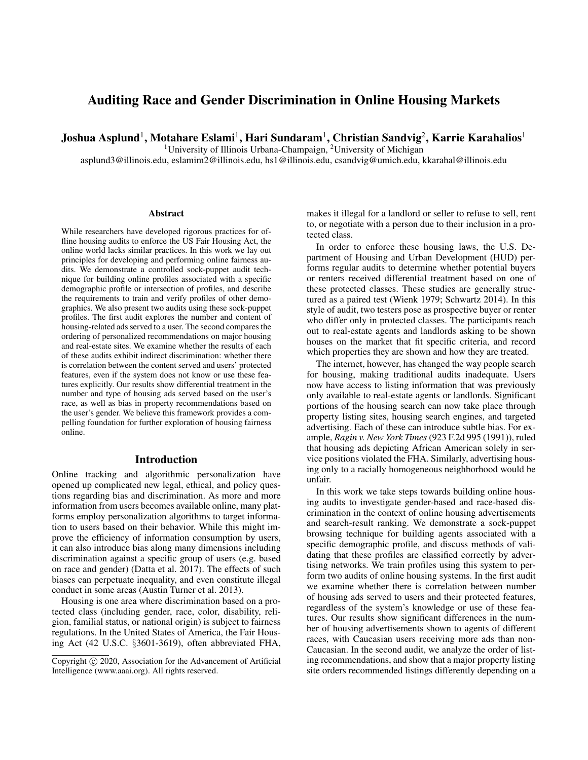# Auditing Race and Gender Discrimination in Online Housing Markets

Joshua Asplund $^1$ , Motahare Eslami $^1$ , Hari Sundaram $^1$ , Christian Sandvig $^2$ , Karrie Karahalios $^1$ 

<sup>1</sup>University of Illinois Urbana-Champaign, <sup>2</sup>University of Michigan

asplund3@illinois.edu, eslamim2@illinois.edu, hs1@illinois.edu, csandvig@umich.edu, kkarahal@illinois.edu

#### Abstract

While researchers have developed rigorous practices for offline housing audits to enforce the US Fair Housing Act, the online world lacks similar practices. In this work we lay out principles for developing and performing online fairness audits. We demonstrate a controlled sock-puppet audit technique for building online profiles associated with a specific demographic profile or intersection of profiles, and describe the requirements to train and verify profiles of other demographics. We also present two audits using these sock-puppet profiles. The first audit explores the number and content of housing-related ads served to a user. The second compares the ordering of personalized recommendations on major housing and real-estate sites. We examine whether the results of each of these audits exhibit indirect discrimination: whether there is correlation between the content served and users' protected features, even if the system does not know or use these features explicitly. Our results show differential treatment in the number and type of housing ads served based on the user's race, as well as bias in property recommendations based on the user's gender. We believe this framework provides a compelling foundation for further exploration of housing fairness online.

#### Introduction

Online tracking and algorithmic personalization have opened up complicated new legal, ethical, and policy questions regarding bias and discrimination. As more and more information from users becomes available online, many platforms employ personalization algorithms to target information to users based on their behavior. While this might improve the efficiency of information consumption by users, it can also introduce bias along many dimensions including discrimination against a specific group of users (e.g. based on race and gender) (Datta et al. 2017). The effects of such biases can perpetuate inequality, and even constitute illegal conduct in some areas (Austin Turner et al. 2013).

Housing is one area where discrimination based on a protected class (including gender, race, color, disability, religion, familial status, or national origin) is subject to fairness regulations. In the United States of America, the Fair Housing Act (42 U.S.C. §3601-3619), often abbreviated FHA, makes it illegal for a landlord or seller to refuse to sell, rent to, or negotiate with a person due to their inclusion in a protected class.

In order to enforce these housing laws, the U.S. Department of Housing and Urban Development (HUD) performs regular audits to determine whether potential buyers or renters received differential treatment based on one of these protected classes. These studies are generally structured as a paired test (Wienk 1979; Schwartz 2014). In this style of audit, two testers pose as prospective buyer or renter who differ only in protected classes. The participants reach out to real-estate agents and landlords asking to be shown houses on the market that fit specific criteria, and record which properties they are shown and how they are treated.

The internet, however, has changed the way people search for housing, making traditional audits inadequate. Users now have access to listing information that was previously only available to real-estate agents or landlords. Significant portions of the housing search can now take place through property listing sites, housing search engines, and targeted advertising. Each of these can introduce subtle bias. For example, *Ragin v. New York Times* (923 F.2d 995 (1991)), ruled that housing ads depicting African American solely in service positions violated the FHA. Similarly, advertising housing only to a racially homogeneous neighborhood would be unfair.

In this work we take steps towards building online housing audits to investigate gender-based and race-based discrimination in the context of online housing advertisements and search-result ranking. We demonstrate a sock-puppet browsing technique for building agents associated with a specific demographic profile, and discuss methods of validating that these profiles are classified correctly by advertising networks. We train profiles using this system to perform two audits of online housing systems. In the first audit we examine whether there is correlation between number of housing ads served to users and their protected features, regardless of the system's knowledge or use of these features. Our results show significant differences in the number of housing advertisements shown to agents of different races, with Caucasian users receiving more ads than non-Caucasian. In the second audit, we analyze the order of listing recommendations, and show that a major property listing site orders recommended listings differently depending on a

Copyright (c) 2020, Association for the Advancement of Artificial Intelligence (www.aaai.org). All rights reserved.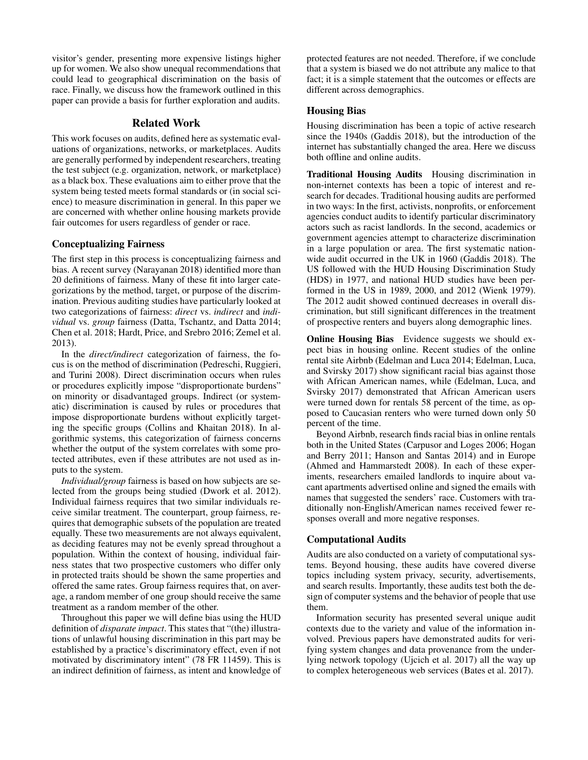visitor's gender, presenting more expensive listings higher up for women. We also show unequal recommendations that could lead to geographical discrimination on the basis of race. Finally, we discuss how the framework outlined in this paper can provide a basis for further exploration and audits.

# Related Work

This work focuses on audits, defined here as systematic evaluations of organizations, networks, or marketplaces. Audits are generally performed by independent researchers, treating the test subject (e.g. organization, network, or marketplace) as a black box. These evaluations aim to either prove that the system being tested meets formal standards or (in social science) to measure discrimination in general. In this paper we are concerned with whether online housing markets provide fair outcomes for users regardless of gender or race.

# Conceptualizing Fairness

The first step in this process is conceptualizing fairness and bias. A recent survey (Narayanan 2018) identified more than 20 definitions of fairness. Many of these fit into larger categorizations by the method, target, or purpose of the discrimination. Previous auditing studies have particularly looked at two categorizations of fairness: *direct* vs. *indirect* and *individual* vs. *group* fairness (Datta, Tschantz, and Datta 2014; Chen et al. 2018; Hardt, Price, and Srebro 2016; Zemel et al. 2013).

In the *direct/indirect* categorization of fairness, the focus is on the method of discrimination (Pedreschi, Ruggieri, and Turini 2008). Direct discrimination occurs when rules or procedures explicitly impose "disproportionate burdens" on minority or disadvantaged groups. Indirect (or systematic) discrimination is caused by rules or procedures that impose disproportionate burdens without explicitly targeting the specific groups (Collins and Khaitan 2018). In algorithmic systems, this categorization of fairness concerns whether the output of the system correlates with some protected attributes, even if these attributes are not used as inputs to the system.

*Individual/group* fairness is based on how subjects are selected from the groups being studied (Dwork et al. 2012). Individual fairness requires that two similar individuals receive similar treatment. The counterpart, group fairness, requires that demographic subsets of the population are treated equally. These two measurements are not always equivalent, as deciding features may not be evenly spread throughout a population. Within the context of housing, individual fairness states that two prospective customers who differ only in protected traits should be shown the same properties and offered the same rates. Group fairness requires that, on average, a random member of one group should receive the same treatment as a random member of the other.

Throughout this paper we will define bias using the HUD definition of *disparate impact*. This states that "(the) illustrations of unlawful housing discrimination in this part may be established by a practice's discriminatory effect, even if not motivated by discriminatory intent" (78 FR 11459). This is an indirect definition of fairness, as intent and knowledge of protected features are not needed. Therefore, if we conclude that a system is biased we do not attribute any malice to that fact; it is a simple statement that the outcomes or effects are different across demographics.

### Housing Bias

Housing discrimination has been a topic of active research since the 1940s (Gaddis 2018), but the introduction of the internet has substantially changed the area. Here we discuss both offline and online audits.

Traditional Housing Audits Housing discrimination in non-internet contexts has been a topic of interest and research for decades. Traditional housing audits are performed in two ways: In the first, activists, nonprofits, or enforcement agencies conduct audits to identify particular discriminatory actors such as racist landlords. In the second, academics or government agencies attempt to characterize discrimination in a large population or area. The first systematic nationwide audit occurred in the UK in 1960 (Gaddis 2018). The US followed with the HUD Housing Discrimination Study (HDS) in 1977, and national HUD studies have been performed in the US in 1989, 2000, and 2012 (Wienk 1979). The 2012 audit showed continued decreases in overall discrimination, but still significant differences in the treatment of prospective renters and buyers along demographic lines.

**Online Housing Bias** Evidence suggests we should expect bias in housing online. Recent studies of the online rental site Airbnb (Edelman and Luca 2014; Edelman, Luca, and Svirsky 2017) show significant racial bias against those with African American names, while (Edelman, Luca, and Svirsky 2017) demonstrated that African American users were turned down for rentals 58 percent of the time, as opposed to Caucasian renters who were turned down only 50 percent of the time.

Beyond Airbnb, research finds racial bias in online rentals both in the United States (Carpusor and Loges 2006; Hogan and Berry 2011; Hanson and Santas 2014) and in Europe (Ahmed and Hammarstedt 2008). In each of these experiments, researchers emailed landlords to inquire about vacant apartments advertised online and signed the emails with names that suggested the senders' race. Customers with traditionally non-English/American names received fewer responses overall and more negative responses.

#### Computational Audits

Audits are also conducted on a variety of computational systems. Beyond housing, these audits have covered diverse topics including system privacy, security, advertisements, and search results. Importantly, these audits test both the design of computer systems and the behavior of people that use them.

Information security has presented several unique audit contexts due to the variety and value of the information involved. Previous papers have demonstrated audits for verifying system changes and data provenance from the underlying network topology (Ujcich et al. 2017) all the way up to complex heterogeneous web services (Bates et al. 2017).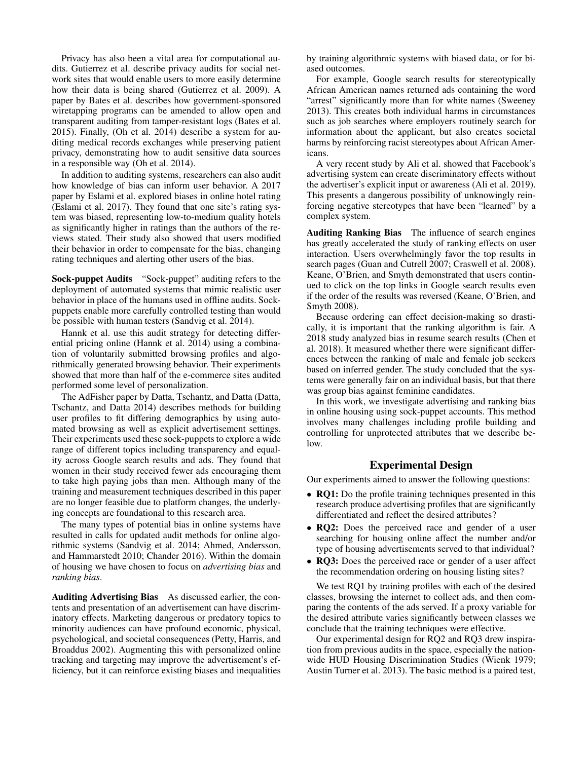Privacy has also been a vital area for computational audits. Gutierrez et al. describe privacy audits for social network sites that would enable users to more easily determine how their data is being shared (Gutierrez et al. 2009). A paper by Bates et al. describes how government-sponsored wiretapping programs can be amended to allow open and transparent auditing from tamper-resistant logs (Bates et al. 2015). Finally, (Oh et al. 2014) describe a system for auditing medical records exchanges while preserving patient privacy, demonstrating how to audit sensitive data sources in a responsible way (Oh et al. 2014).

In addition to auditing systems, researchers can also audit how knowledge of bias can inform user behavior. A 2017 paper by Eslami et al. explored biases in online hotel rating (Eslami et al. 2017). They found that one site's rating system was biased, representing low-to-medium quality hotels as significantly higher in ratings than the authors of the reviews stated. Their study also showed that users modified their behavior in order to compensate for the bias, changing rating techniques and alerting other users of the bias.

Sock-puppet Audits "Sock-puppet" auditing refers to the deployment of automated systems that mimic realistic user behavior in place of the humans used in offline audits. Sockpuppets enable more carefully controlled testing than would be possible with human testers (Sandvig et al. 2014).

Hannk et al. use this audit strategy for detecting differential pricing online (Hannk et al. 2014) using a combination of voluntarily submitted browsing profiles and algorithmically generated browsing behavior. Their experiments showed that more than half of the e-commerce sites audited performed some level of personalization.

The AdFisher paper by Datta, Tschantz, and Datta (Datta, Tschantz, and Datta 2014) describes methods for building user profiles to fit differing demographics by using automated browsing as well as explicit advertisement settings. Their experiments used these sock-puppets to explore a wide range of different topics including transparency and equality across Google search results and ads. They found that women in their study received fewer ads encouraging them to take high paying jobs than men. Although many of the training and measurement techniques described in this paper are no longer feasible due to platform changes, the underlying concepts are foundational to this research area.

The many types of potential bias in online systems have resulted in calls for updated audit methods for online algorithmic systems (Sandvig et al. 2014; Ahmed, Andersson, and Hammarstedt 2010; Chander 2016). Within the domain of housing we have chosen to focus on *advertising bias* and *ranking bias*.

Auditing Advertising Bias As discussed earlier, the contents and presentation of an advertisement can have discriminatory effects. Marketing dangerous or predatory topics to minority audiences can have profound economic, physical, psychological, and societal consequences (Petty, Harris, and Broaddus 2002). Augmenting this with personalized online tracking and targeting may improve the advertisement's efficiency, but it can reinforce existing biases and inequalities by training algorithmic systems with biased data, or for biased outcomes.

For example, Google search results for stereotypically African American names returned ads containing the word "arrest" significantly more than for white names (Sweeney 2013). This creates both individual harms in circumstances such as job searches where employers routinely search for information about the applicant, but also creates societal harms by reinforcing racist stereotypes about African Americans.

A very recent study by Ali et al. showed that Facebook's advertising system can create discriminatory effects without the advertiser's explicit input or awareness (Ali et al. 2019). This presents a dangerous possibility of unknowingly reinforcing negative stereotypes that have been "learned" by a complex system.

Auditing Ranking Bias The influence of search engines has greatly accelerated the study of ranking effects on user interaction. Users overwhelmingly favor the top results in search pages (Guan and Cutrell 2007; Craswell et al. 2008). Keane, O'Brien, and Smyth demonstrated that users continued to click on the top links in Google search results even if the order of the results was reversed (Keane, O'Brien, and Smyth 2008).

Because ordering can effect decision-making so drastically, it is important that the ranking algorithm is fair. A 2018 study analyzed bias in resume search results (Chen et al. 2018). It measured whether there were significant differences between the ranking of male and female job seekers based on inferred gender. The study concluded that the systems were generally fair on an individual basis, but that there was group bias against feminine candidates.

In this work, we investigate advertising and ranking bias in online housing using sock-puppet accounts. This method involves many challenges including profile building and controlling for unprotected attributes that we describe below.

# Experimental Design

Our experiments aimed to answer the following questions:

- RQ1: Do the profile training techniques presented in this research produce advertising profiles that are significantly differentiated and reflect the desired attributes?
- RO2: Does the perceived race and gender of a user searching for housing online affect the number and/or type of housing advertisements served to that individual?
- RQ3: Does the perceived race or gender of a user affect the recommendation ordering on housing listing sites?

We test RQ1 by training profiles with each of the desired classes, browsing the internet to collect ads, and then comparing the contents of the ads served. If a proxy variable for the desired attribute varies significantly between classes we conclude that the training techniques were effective.

Our experimental design for RQ2 and RQ3 drew inspiration from previous audits in the space, especially the nationwide HUD Housing Discrimination Studies (Wienk 1979; Austin Turner et al. 2013). The basic method is a paired test,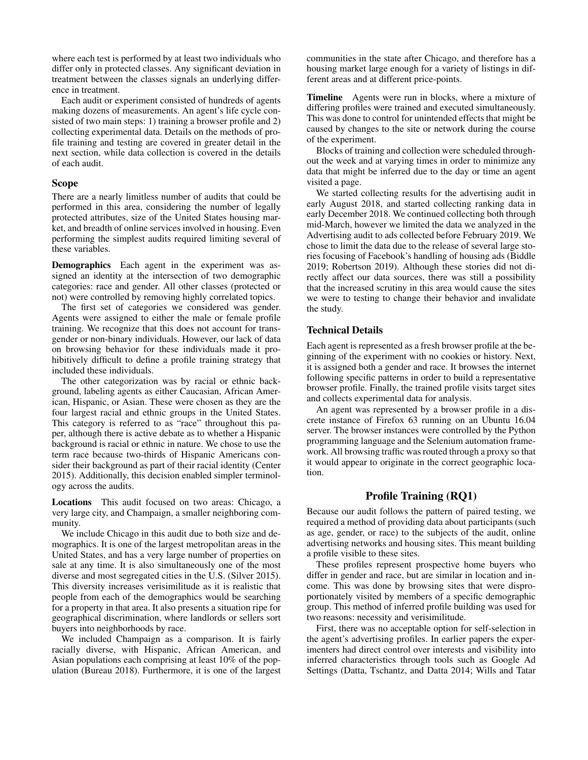where each test is performed by at least two individuals who differ only in protected classes. Any significant deviation in treatment between the classes signals an underlying difference in treatment.

Each audit or experiment consisted of hundreds of agents making dozens of measurements. An agent's life cycle consisted of two main steps: 1) training a browser profile and 2) collecting experimental data. Details on the methods of profile training and testing are covered in greater detail in the next section, while data collection is covered in the details of each audit.

### Scope

There are a nearly limitless number of audits that could be performed in this area, considering the number of legally protected attributes, size of the United States housing market, and breadth of online services involved in housing. Even performing the simplest audits required limiting several of these variables.

Demographics Each agent in the experiment was assigned an identity at the intersection of two demographic categories: race and gender. All other classes (protected or not) were controlled by removing highly correlated topics.

The first set of categories we considered was gender. Agents were assigned to either the male or female profile training. We recognize that this does not account for transgender or non-binary individuals. However, our lack of data on browsing behavior for these individuals made it prohibitively difficult to define a profile training strategy that included these individuals.

The other categorization was by racial or ethnic background, labeling agents as either Caucasian, African American, Hispanic, or Asian. These were chosen as they are the four largest racial and ethnic groups in the United States. This category is referred to as "race" throughout this paper, although there is active debate as to whether a Hispanic background is racial or ethnic in nature. We chose to use the term race because two-thirds of Hispanic Americans consider their background as part of their racial identity (Center 2015). Additionally, this decision enabled simpler terminology across the audits.

Locations This audit focused on two areas: Chicago, a very large city, and Champaign, a smaller neighboring community.

We include Chicago in this audit due to both size and demographics. It is one of the largest metropolitan areas in the United States, and has a very large number of properties on sale at any time. It is also simultaneously one of the most diverse and most segregated cities in the U.S. (Silver 2015). This diversity increases verisimilitude as it is realistic that people from each of the demographics would be searching for a property in that area. It also presents a situation ripe for geographical discrimination, where landlords or sellers sort buyers into neighborhoods by race.

We included Champaign as a comparison. It is fairly racially diverse, with Hispanic, African American, and Asian populations each comprising at least 10% of the population (Bureau 2018). Furthermore, it is one of the largest communities in the state after Chicago, and therefore has a housing market large enough for a variety of listings in different areas and at different price-points.

Timeline Agents were run in blocks, where a mixture of differing profiles were trained and executed simultaneously. This was done to control for unintended effects that might be caused by changes to the site or network during the course of the experiment.

Blocks of training and collection were scheduled throughout the week and at varying times in order to minimize any data that might be inferred due to the day or time an agent visited a page.

We started collecting results for the advertising audit in early August 2018, and started collecting ranking data in early December 2018. We continued collecting both through mid-March, however we limited the data we analyzed in the Advertising audit to ads collected before February 2019. We chose to limit the data due to the release of several large stories focusing of Facebook's handling of housing ads (Biddle 2019; Robertson 2019). Although these stories did not directly affect our data sources, there was still a possibility that the increased scrutiny in this area would cause the sites we were to testing to change their behavior and invalidate the study.

# Technical Details

Each agent is represented as a fresh browser profile at the beginning of the experiment with no cookies or history. Next, it is assigned both a gender and race. It browses the internet following specific patterns in order to build a representative browser profile. Finally, the trained profile visits target sites and collects experimental data for analysis.

An agent was represented by a browser profile in a discrete instance of Firefox 63 running on an Ubuntu 16.04 server. The browser instances were controlled by the Python programming language and the Selenium automation framework. All browsing traffic was routed through a proxy so that it would appear to originate in the correct geographic location.

# Profile Training (RQ1)

Because our audit follows the pattern of paired testing, we required a method of providing data about participants (such as age, gender, or race) to the subjects of the audit, online advertising networks and housing sites. This meant building a profile visible to these sites.

These profiles represent prospective home buyers who differ in gender and race, but are similar in location and income. This was done by browsing sites that were disproportionately visited by members of a specific demographic group. This method of inferred profile building was used for two reasons: necessity and verisimilitude.

First, there was no acceptable option for self-selection in the agent's advertising profiles. In earlier papers the experimenters had direct control over interests and visibility into inferred characteristics through tools such as Google Ad Settings (Datta, Tschantz, and Datta 2014; Wills and Tatar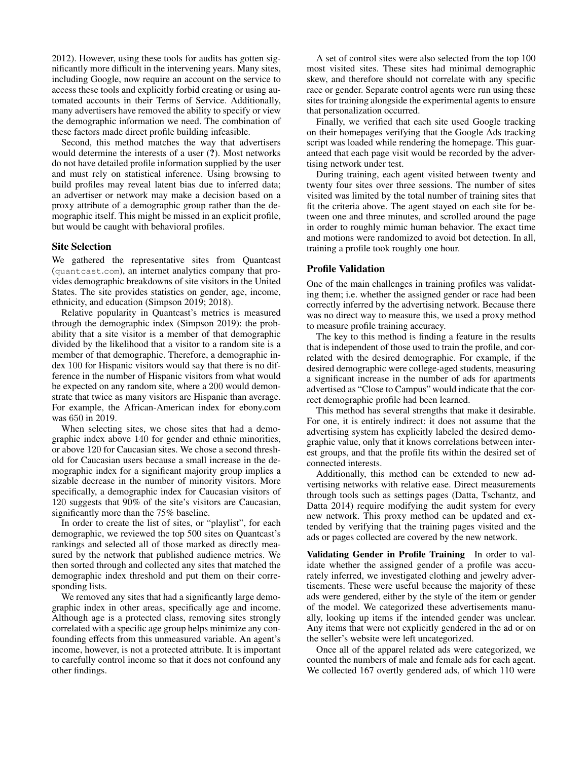2012). However, using these tools for audits has gotten significantly more difficult in the intervening years. Many sites, including Google, now require an account on the service to access these tools and explicitly forbid creating or using automated accounts in their Terms of Service. Additionally, many advertisers have removed the ability to specify or view the demographic information we need. The combination of these factors made direct profile building infeasible.

Second, this method matches the way that advertisers would determine the interests of a user (?). Most networks do not have detailed profile information supplied by the user and must rely on statistical inference. Using browsing to build profiles may reveal latent bias due to inferred data; an advertiser or network may make a decision based on a proxy attribute of a demographic group rather than the demographic itself. This might be missed in an explicit profile, but would be caught with behavioral profiles.

#### Site Selection

We gathered the representative sites from Quantcast (quantcast.com), an internet analytics company that provides demographic breakdowns of site visitors in the United States. The site provides statistics on gender, age, income, ethnicity, and education (Simpson 2019; 2018).

Relative popularity in Quantcast's metrics is measured through the demographic index (Simpson 2019): the probability that a site visitor is a member of that demographic divided by the likelihood that a visitor to a random site is a member of that demographic. Therefore, a demographic index 100 for Hispanic visitors would say that there is no difference in the number of Hispanic visitors from what would be expected on any random site, where a 200 would demonstrate that twice as many visitors are Hispanic than average. For example, the African-American index for ebony.com was 650 in 2019.

When selecting sites, we chose sites that had a demographic index above 140 for gender and ethnic minorities, or above 120 for Caucasian sites. We chose a second threshold for Caucasian users because a small increase in the demographic index for a significant majority group implies a sizable decrease in the number of minority visitors. More specifically, a demographic index for Caucasian visitors of 120 suggests that 90% of the site's visitors are Caucasian, significantly more than the 75% baseline.

In order to create the list of sites, or "playlist", for each demographic, we reviewed the top 500 sites on Quantcast's rankings and selected all of those marked as directly measured by the network that published audience metrics. We then sorted through and collected any sites that matched the demographic index threshold and put them on their corresponding lists.

We removed any sites that had a significantly large demographic index in other areas, specifically age and income. Although age is a protected class, removing sites strongly correlated with a specific age group helps minimize any confounding effects from this unmeasured variable. An agent's income, however, is not a protected attribute. It is important to carefully control income so that it does not confound any other findings.

A set of control sites were also selected from the top 100 most visited sites. These sites had minimal demographic skew, and therefore should not correlate with any specific race or gender. Separate control agents were run using these sites for training alongside the experimental agents to ensure that personalization occurred.

Finally, we verified that each site used Google tracking on their homepages verifying that the Google Ads tracking script was loaded while rendering the homepage. This guaranteed that each page visit would be recorded by the advertising network under test.

During training, each agent visited between twenty and twenty four sites over three sessions. The number of sites visited was limited by the total number of training sites that fit the criteria above. The agent stayed on each site for between one and three minutes, and scrolled around the page in order to roughly mimic human behavior. The exact time and motions were randomized to avoid bot detection. In all, training a profile took roughly one hour.

# Profile Validation

One of the main challenges in training profiles was validating them; i.e. whether the assigned gender or race had been correctly inferred by the advertising network. Because there was no direct way to measure this, we used a proxy method to measure profile training accuracy.

The key to this method is finding a feature in the results that is independent of those used to train the profile, and correlated with the desired demographic. For example, if the desired demographic were college-aged students, measuring a significant increase in the number of ads for apartments advertised as "Close to Campus" would indicate that the correct demographic profile had been learned.

This method has several strengths that make it desirable. For one, it is entirely indirect: it does not assume that the advertising system has explicitly labeled the desired demographic value, only that it knows correlations between interest groups, and that the profile fits within the desired set of connected interests.

Additionally, this method can be extended to new advertising networks with relative ease. Direct measurements through tools such as settings pages (Datta, Tschantz, and Datta 2014) require modifying the audit system for every new network. This proxy method can be updated and extended by verifying that the training pages visited and the ads or pages collected are covered by the new network.

Validating Gender in Profile Training In order to validate whether the assigned gender of a profile was accurately inferred, we investigated clothing and jewelry advertisements. These were useful because the majority of these ads were gendered, either by the style of the item or gender of the model. We categorized these advertisements manually, looking up items if the intended gender was unclear. Any items that were not explicitly gendered in the ad or on the seller's website were left uncategorized.

Once all of the apparel related ads were categorized, we counted the numbers of male and female ads for each agent. We collected 167 overtly gendered ads, of which 110 were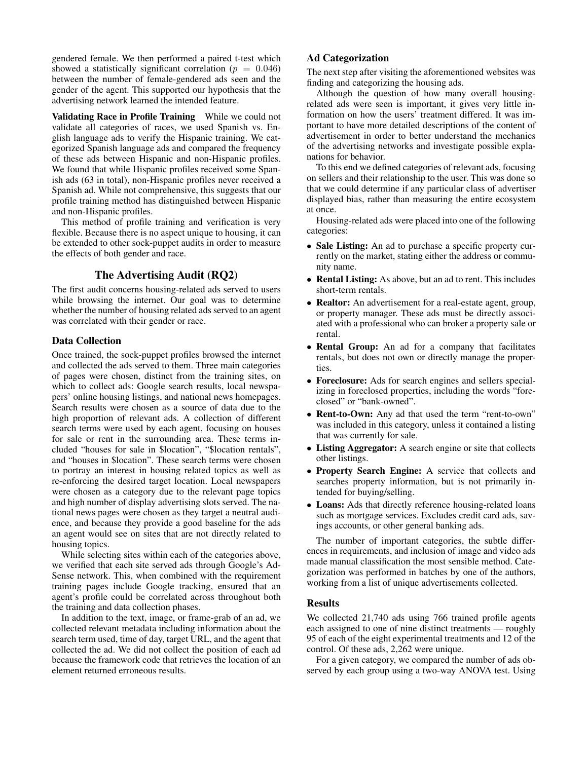gendered female. We then performed a paired t-test which showed a statistically significant correlation ( $p = 0.046$ ) between the number of female-gendered ads seen and the gender of the agent. This supported our hypothesis that the advertising network learned the intended feature.

Validating Race in Profile Training While we could not validate all categories of races, we used Spanish vs. English language ads to verify the Hispanic training. We categorized Spanish language ads and compared the frequency of these ads between Hispanic and non-Hispanic profiles. We found that while Hispanic profiles received some Spanish ads (63 in total), non-Hispanic profiles never received a Spanish ad. While not comprehensive, this suggests that our profile training method has distinguished between Hispanic and non-Hispanic profiles.

This method of profile training and verification is very flexible. Because there is no aspect unique to housing, it can be extended to other sock-puppet audits in order to measure the effects of both gender and race.

# The Advertising Audit (RQ2)

The first audit concerns housing-related ads served to users while browsing the internet. Our goal was to determine whether the number of housing related ads served to an agent was correlated with their gender or race.

### Data Collection

Once trained, the sock-puppet profiles browsed the internet and collected the ads served to them. Three main categories of pages were chosen, distinct from the training sites, on which to collect ads: Google search results, local newspapers' online housing listings, and national news homepages. Search results were chosen as a source of data due to the high proportion of relevant ads. A collection of different search terms were used by each agent, focusing on houses for sale or rent in the surrounding area. These terms included "houses for sale in \$location", "\$location rentals", and "houses in \$location". These search terms were chosen to portray an interest in housing related topics as well as re-enforcing the desired target location. Local newspapers were chosen as a category due to the relevant page topics and high number of display advertising slots served. The national news pages were chosen as they target a neutral audience, and because they provide a good baseline for the ads an agent would see on sites that are not directly related to housing topics.

While selecting sites within each of the categories above, we verified that each site served ads through Google's Ad-Sense network. This, when combined with the requirement training pages include Google tracking, ensured that an agent's profile could be correlated across throughout both the training and data collection phases.

In addition to the text, image, or frame-grab of an ad, we collected relevant metadata including information about the search term used, time of day, target URL, and the agent that collected the ad. We did not collect the position of each ad because the framework code that retrieves the location of an element returned erroneous results.

# Ad Categorization

The next step after visiting the aforementioned websites was finding and categorizing the housing ads.

Although the question of how many overall housingrelated ads were seen is important, it gives very little information on how the users' treatment differed. It was important to have more detailed descriptions of the content of advertisement in order to better understand the mechanics of the advertising networks and investigate possible explanations for behavior.

To this end we defined categories of relevant ads, focusing on sellers and their relationship to the user. This was done so that we could determine if any particular class of advertiser displayed bias, rather than measuring the entire ecosystem at once.

Housing-related ads were placed into one of the following categories:

- Sale Listing: An ad to purchase a specific property currently on the market, stating either the address or community name.
- Rental Listing: As above, but an ad to rent. This includes short-term rentals.
- Realtor: An advertisement for a real-estate agent, group, or property manager. These ads must be directly associated with a professional who can broker a property sale or rental.
- Rental Group: An ad for a company that facilitates rentals, but does not own or directly manage the properties.
- Foreclosure: Ads for search engines and sellers specializing in foreclosed properties, including the words "foreclosed" or "bank-owned".
- Rent-to-Own: Any ad that used the term "rent-to-own" was included in this category, unless it contained a listing that was currently for sale.
- Listing Aggregator: A search engine or site that collects other listings.
- Property Search Engine: A service that collects and searches property information, but is not primarily intended for buying/selling.
- Loans: Ads that directly reference housing-related loans such as mortgage services. Excludes credit card ads, savings accounts, or other general banking ads.

The number of important categories, the subtle differences in requirements, and inclusion of image and video ads made manual classification the most sensible method. Categorization was performed in batches by one of the authors, working from a list of unique advertisements collected.

#### Results

We collected 21,740 ads using 766 trained profile agents each assigned to one of nine distinct treatments — roughly 95 of each of the eight experimental treatments and 12 of the control. Of these ads, 2,262 were unique.

For a given category, we compared the number of ads observed by each group using a two-way ANOVA test. Using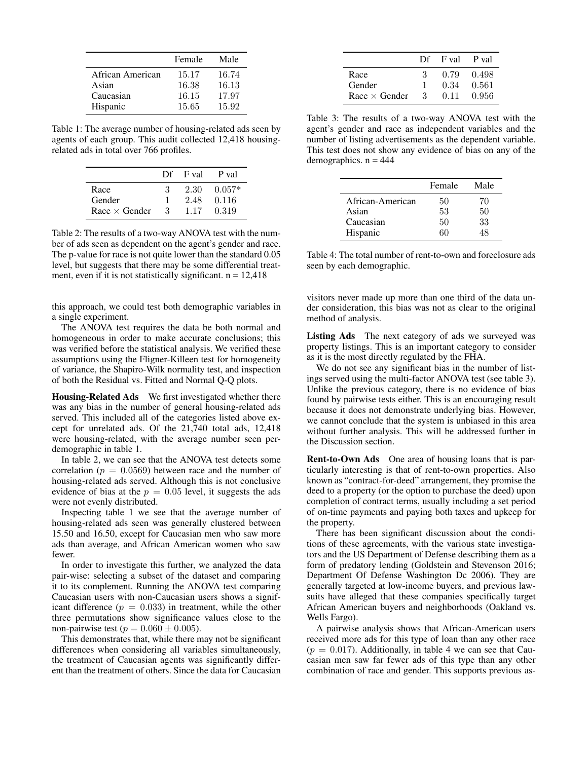|                  | Female | Male  |
|------------------|--------|-------|
| African American | 15.17  | 16.74 |
| Asian            | 16.38  | 16.13 |
| Caucasian        | 16.15  | 17.97 |
| Hispanic         | 15.65  | 15.92 |

Table 1: The average number of housing-related ads seen by agents of each group. This audit collected 12,418 housingrelated ads in total over 766 profiles.

|                      |     | $Df$ F val | P val    |
|----------------------|-----|------------|----------|
| Race                 | -3- | 2.30       | $0.057*$ |
| Gender               |     | 2.48       | 0.116    |
| Race $\times$ Gender | -3- | 1.17       | 0.319    |

Table 2: The results of a two-way ANOVA test with the number of ads seen as dependent on the agent's gender and race. The p-value for race is not quite lower than the standard 0.05 level, but suggests that there may be some differential treatment, even if it is not statistically significant.  $n = 12,418$ 

this approach, we could test both demographic variables in a single experiment.

The ANOVA test requires the data be both normal and homogeneous in order to make accurate conclusions; this was verified before the statistical analysis. We verified these assumptions using the Fligner-Killeen test for homogeneity of variance, the Shapiro-Wilk normality test, and inspection of both the Residual vs. Fitted and Normal Q-Q plots.

Housing-Related Ads We first investigated whether there was any bias in the number of general housing-related ads served. This included all of the categories listed above except for unrelated ads. Of the 21,740 total ads, 12,418 were housing-related, with the average number seen perdemographic in table 1.

In table 2, we can see that the ANOVA test detects some correlation ( $p = 0.0569$ ) between race and the number of housing-related ads served. Although this is not conclusive evidence of bias at the  $p = 0.05$  level, it suggests the ads were not evenly distributed.

Inspecting table 1 we see that the average number of housing-related ads seen was generally clustered between 15.50 and 16.50, except for Caucasian men who saw more ads than average, and African American women who saw fewer.

In order to investigate this further, we analyzed the data pair-wise: selecting a subset of the dataset and comparing it to its complement. Running the ANOVA test comparing Caucasian users with non-Caucasian users shows a significant difference  $(p = 0.033)$  in treatment, while the other three permutations show significance values close to the non-pairwise test ( $p = 0.060 \pm 0.005$ ).

This demonstrates that, while there may not be significant differences when considering all variables simultaneously, the treatment of Caucasian agents was significantly different than the treatment of others. Since the data for Caucasian

|                      | Df | F val P val |         |
|----------------------|----|-------------|---------|
| Race                 | З  | 0.79        | 0.498   |
| Gender               |    | 0.34        | - 0.561 |
| $Race \times Gender$ | 3  | 0.11        | -0.956  |

Table 3: The results of a two-way ANOVA test with the agent's gender and race as independent variables and the number of listing advertisements as the dependent variable. This test does not show any evidence of bias on any of the demographics.  $n = 444$ 

|                  | Female | Male |
|------------------|--------|------|
| African-American | 50     | 70   |
| Asian            | 53     | 50   |
| Caucasian        | 50     | 33   |
| Hispanic         | 60     | ι×   |

Table 4: The total number of rent-to-own and foreclosure ads seen by each demographic.

visitors never made up more than one third of the data under consideration, this bias was not as clear to the original method of analysis.

Listing Ads The next category of ads we surveyed was property listings. This is an important category to consider as it is the most directly regulated by the FHA.

We do not see any significant bias in the number of listings served using the multi-factor ANOVA test (see table 3). Unlike the previous category, there is no evidence of bias found by pairwise tests either. This is an encouraging result because it does not demonstrate underlying bias. However, we cannot conclude that the system is unbiased in this area without further analysis. This will be addressed further in the Discussion section.

Rent-to-Own Ads One area of housing loans that is particularly interesting is that of rent-to-own properties. Also known as "contract-for-deed" arrangement, they promise the deed to a property (or the option to purchase the deed) upon completion of contract terms, usually including a set period of on-time payments and paying both taxes and upkeep for the property.

There has been significant discussion about the conditions of these agreements, with the various state investigators and the US Department of Defense describing them as a form of predatory lending (Goldstein and Stevenson 2016; Department Of Defense Washington Dc 2006). They are generally targeted at low-income buyers, and previous lawsuits have alleged that these companies specifically target African American buyers and neighborhoods (Oakland vs. Wells Fargo).

A pairwise analysis shows that African-American users received more ads for this type of loan than any other race  $(p = 0.017)$ . Additionally, in table 4 we can see that Caucasian men saw far fewer ads of this type than any other combination of race and gender. This supports previous as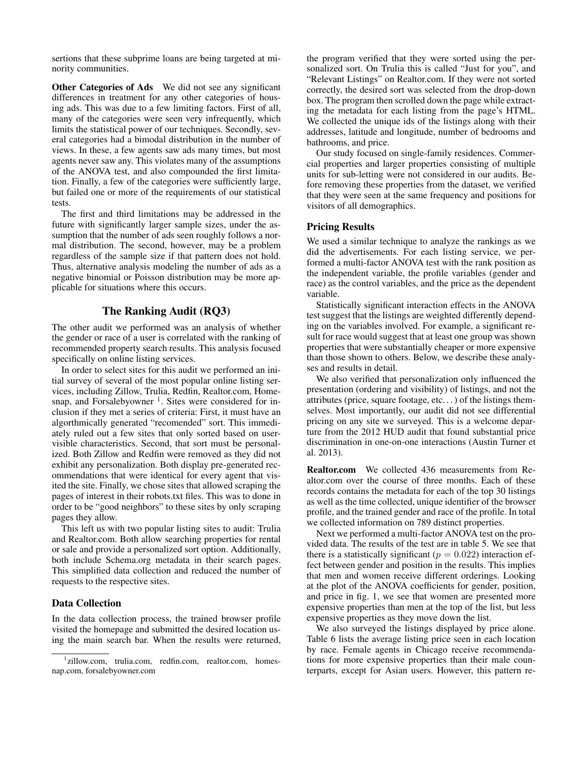sertions that these subprime loans are being targeted at minority communities.

Other Categories of Ads We did not see any significant differences in treatment for any other categories of housing ads. This was due to a few limiting factors. First of all, many of the categories were seen very infrequently, which limits the statistical power of our techniques. Secondly, several categories had a bimodal distribution in the number of views. In these, a few agents saw ads many times, but most agents never saw any. This violates many of the assumptions of the ANOVA test, and also compounded the first limitation. Finally, a few of the categories were sufficiently large, but failed one or more of the requirements of our statistical tests.

The first and third limitations may be addressed in the future with significantly larger sample sizes, under the assumption that the number of ads seen roughly follows a normal distribution. The second, however, may be a problem regardless of the sample size if that pattern does not hold. Thus, alternative analysis modeling the number of ads as a negative binomial or Poisson distribution may be more applicable for situations where this occurs.

### The Ranking Audit (RQ3)

The other audit we performed was an analysis of whether the gender or race of a user is correlated with the ranking of recommended property search results. This analysis focused specifically on online listing services.

In order to select sites for this audit we performed an initial survey of several of the most popular online listing services, including Zillow, Trulia, Redfin, Realtor.com, Homesnap, and Forsalebyowner<sup>1</sup>. Sites were considered for inclusion if they met a series of criteria: First, it must have an algorthmically generated "recomended" sort. This immediately ruled out a few sites that only sorted based on uservisible characteristics. Second, that sort must be personalized. Both Zillow and Redfin were removed as they did not exhibit any personalization. Both display pre-generated recommendations that were identical for every agent that visited the site. Finally, we chose sites that allowed scraping the pages of interest in their robots.txt files. This was to done in order to be "good neighbors" to these sites by only scraping pages they allow.

This left us with two popular listing sites to audit: Trulia and Realtor.com. Both allow searching properties for rental or sale and provide a personalized sort option. Additionally, both include Schema.org metadata in their search pages. This simplified data collection and reduced the number of requests to the respective sites.

# Data Collection

In the data collection process, the trained browser profile visited the homepage and submitted the desired location using the main search bar. When the results were returned,

the program verified that they were sorted using the personalized sort. On Trulia this is called "Just for you", and "Relevant Listings" on Realtor.com. If they were not sorted correctly, the desired sort was selected from the drop-down box. The program then scrolled down the page while extracting the metadata for each listing from the page's HTML. We collected the unique ids of the listings along with their addresses, latitude and longitude, number of bedrooms and bathrooms, and price.

Our study focused on single-family residences. Commercial properties and larger properties consisting of multiple units for sub-letting were not considered in our audits. Before removing these properties from the dataset, we verified that they were seen at the same frequency and positions for visitors of all demographics.

#### Pricing Results

We used a similar technique to analyze the rankings as we did the advertisements. For each listing service, we performed a multi-factor ANOVA test with the rank position as the independent variable, the profile variables (gender and race) as the control variables, and the price as the dependent variable.

Statistically significant interaction effects in the ANOVA test suggest that the listings are weighted differently depending on the variables involved. For example, a significant result for race would suggest that at least one group was shown properties that were substantially cheaper or more expensive than those shown to others. Below, we describe these analyses and results in detail.

We also verified that personalization only influenced the presentation (ordering and visibility) of listings, and not the attributes (price, square footage, etc...) of the listings themselves. Most importantly, our audit did not see differential pricing on any site we surveyed. This is a welcome departure from the 2012 HUD audit that found substantial price discrimination in one-on-one interactions (Austin Turner et al. 2013).

Realtor.com We collected 436 measurements from Realtor.com over the course of three months. Each of these records contains the metadata for each of the top 30 listings as well as the time collected, unique identifier of the browser profile, and the trained gender and race of the profile. In total we collected information on 789 distinct properties.

Next we performed a multi-factor ANOVA test on the provided data. The results of the test are in table 5. We see that there is a statistically significant ( $p = 0.022$ ) interaction effect between gender and position in the results. This implies that men and women receive different orderings. Looking at the plot of the ANOVA coefficients for gender, position, and price in fig. 1, we see that women are presented more expensive properties than men at the top of the list, but less expensive properties as they move down the list.

We also surveyed the listings displayed by price alone. Table 6 lists the average listing price seen in each location by race. Female agents in Chicago receive recommendations for more expensive properties than their male counterparts, except for Asian users. However, this pattern re-

<sup>1</sup> zillow.com, trulia.com, redfin.com, realtor.com, homesnap.com, forsalebyowner.com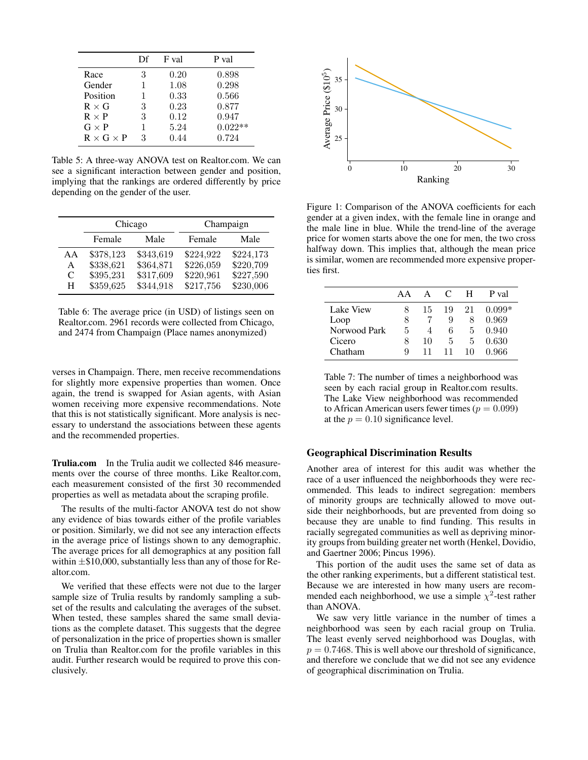|                       | Df | F val | P val     |
|-----------------------|----|-------|-----------|
| Race                  | 3  | 0.20  | 0.898     |
| Gender                | 1  | 1.08  | 0.298     |
| Position              | 1  | 0.33  | 0.566     |
| $R \times G$          | 3  | 0.23  | 0.877     |
| $R \times P$          | 3  | 0.12  | 0.947     |
| $G \times P$          | 1  | 5.24  | $0.022**$ |
| $R \times G \times P$ | 3  | 0.44  | 0.724     |

Table 5: A three-way ANOVA test on Realtor.com. We can see a significant interaction between gender and position, implying that the rankings are ordered differently by price depending on the gender of the user.

|    | Chicago   |           | Champaign |           |  |
|----|-----------|-----------|-----------|-----------|--|
|    | Female    | Male      | Female    | Male      |  |
| AA | \$378,123 | \$343,619 | \$224,922 | \$224,173 |  |
| A  | \$338,621 | \$364,871 | \$226,059 | \$220,709 |  |
| C  | \$395,231 | \$317,609 | \$220,961 | \$227,590 |  |
| н  | \$359,625 | \$344,918 | \$217,756 | \$230,006 |  |

Table 6: The average price (in USD) of listings seen on Realtor.com. 2961 records were collected from Chicago, and 2474 from Champaign (Place names anonymized)

verses in Champaign. There, men receive recommendations for slightly more expensive properties than women. Once again, the trend is swapped for Asian agents, with Asian women receiving more expensive recommendations. Note that this is not statistically significant. More analysis is necessary to understand the associations between these agents and the recommended properties.

Trulia.com In the Trulia audit we collected 846 measurements over the course of three months. Like Realtor.com, each measurement consisted of the first 30 recommended properties as well as metadata about the scraping profile.

The results of the multi-factor ANOVA test do not show any evidence of bias towards either of the profile variables or position. Similarly, we did not see any interaction effects in the average price of listings shown to any demographic. The average prices for all demographics at any position fall within  $\pm \$10,000$ , substantially less than any of those for Realtor.com.

We verified that these effects were not due to the larger sample size of Trulia results by randomly sampling a subset of the results and calculating the averages of the subset. When tested, these samples shared the same small deviations as the complete dataset. This suggests that the degree of personalization in the price of properties shown is smaller on Trulia than Realtor.com for the profile variables in this audit. Further research would be required to prove this conclusively.



Figure 1: Comparison of the ANOVA coefficients for each gender at a given index, with the female line in orange and the male line in blue. While the trend-line of the average price for women starts above the one for men, the two cross halfway down. This implies that, although the mean price is similar, women are recommended more expensive properties first.

|                  | A A | $\Delta$ | C  | н  | P val    |
|------------------|-----|----------|----|----|----------|
| <b>Lake View</b> |     | 15       | 19 | 21 | $0.099*$ |
| Loop             | 8   |          | 9  | 8  | 0.969    |
| Norwood Park     | 5   |          | 6  | 5  | 0.940    |
| Cicero           | 8   | 10       | 5  | 5  | 0.630    |
| Chatham          | Q   | 11       | 11 | 10 | A 966    |

Table 7: The number of times a neighborhood was seen by each racial group in Realtor.com results. The Lake View neighborhood was recommended to African American users fewer times ( $p = 0.099$ ) at the  $p = 0.10$  significance level.

# Geographical Discrimination Results

Another area of interest for this audit was whether the race of a user influenced the neighborhoods they were recommended. This leads to indirect segregation: members of minority groups are technically allowed to move outside their neighborhoods, but are prevented from doing so because they are unable to find funding. This results in racially segregated communities as well as depriving minority groups from building greater net worth (Henkel, Dovidio, and Gaertner 2006; Pincus 1996).

This portion of the audit uses the same set of data as the other ranking experiments, but a different statistical test. Because we are interested in how many users are recommended each neighborhood, we use a simple  $\chi^2$ -test rather than ANOVA.

We saw very little variance in the number of times a neighborhood was seen by each racial group on Trulia. The least evenly served neighborhood was Douglas, with  $p = 0.7468$ . This is well above our threshold of significance, and therefore we conclude that we did not see any evidence of geographical discrimination on Trulia.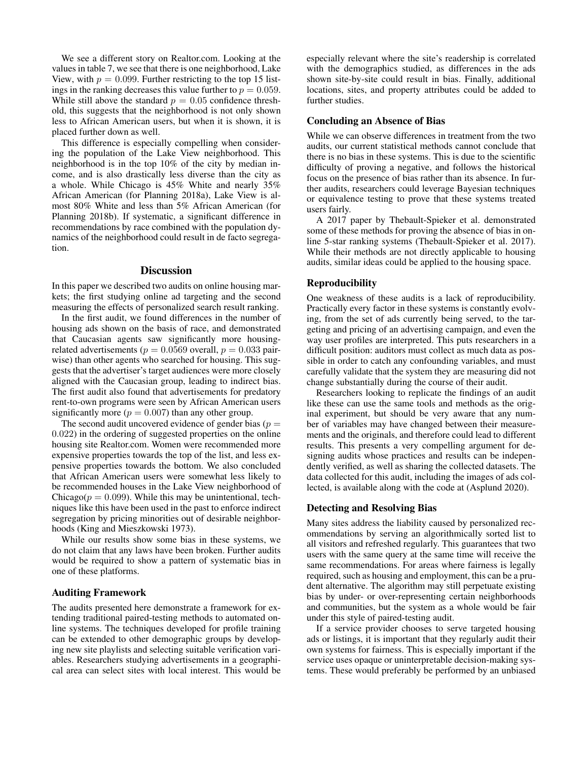We see a different story on Realtor.com. Looking at the values in table 7, we see that there is one neighborhood, Lake View, with  $p = 0.099$ . Further restricting to the top 15 listings in the ranking decreases this value further to  $p = 0.059$ . While still above the standard  $p = 0.05$  confidence threshold, this suggests that the neighborhood is not only shown less to African American users, but when it is shown, it is placed further down as well.

This difference is especially compelling when considering the population of the Lake View neighborhood. This neighborhood is in the top 10% of the city by median income, and is also drastically less diverse than the city as a whole. While Chicago is 45% White and nearly 35% African American (for Planning 2018a), Lake View is almost 80% White and less than 5% African American (for Planning 2018b). If systematic, a significant difference in recommendations by race combined with the population dynamics of the neighborhood could result in de facto segregation.

## **Discussion**

In this paper we described two audits on online housing markets; the first studying online ad targeting and the second measuring the effects of personalized search result ranking.

In the first audit, we found differences in the number of housing ads shown on the basis of race, and demonstrated that Caucasian agents saw significantly more housingrelated advertisements ( $p = 0.0569$  overall,  $p = 0.033$  pairwise) than other agents who searched for housing. This suggests that the advertiser's target audiences were more closely aligned with the Caucasian group, leading to indirect bias. The first audit also found that advertisements for predatory rent-to-own programs were seen by African American users significantly more ( $p = 0.007$ ) than any other group.

The second audit uncovered evidence of gender bias ( $p =$ 0.022) in the ordering of suggested properties on the online housing site Realtor.com. Women were recommended more expensive properties towards the top of the list, and less expensive properties towards the bottom. We also concluded that African American users were somewhat less likely to be recommended houses in the Lake View neighborhood of Chicago( $p = 0.099$ ). While this may be unintentional, techniques like this have been used in the past to enforce indirect segregation by pricing minorities out of desirable neighborhoods (King and Mieszkowski 1973).

While our results show some bias in these systems, we do not claim that any laws have been broken. Further audits would be required to show a pattern of systematic bias in one of these platforms.

#### Auditing Framework

The audits presented here demonstrate a framework for extending traditional paired-testing methods to automated online systems. The techniques developed for profile training can be extended to other demographic groups by developing new site playlists and selecting suitable verification variables. Researchers studying advertisements in a geographical area can select sites with local interest. This would be especially relevant where the site's readership is correlated with the demographics studied, as differences in the ads shown site-by-site could result in bias. Finally, additional locations, sites, and property attributes could be added to further studies.

## Concluding an Absence of Bias

While we can observe differences in treatment from the two audits, our current statistical methods cannot conclude that there is no bias in these systems. This is due to the scientific difficulty of proving a negative, and follows the historical focus on the presence of bias rather than its absence. In further audits, researchers could leverage Bayesian techniques or equivalence testing to prove that these systems treated users fairly.

A 2017 paper by Thebault-Spieker et al. demonstrated some of these methods for proving the absence of bias in online 5-star ranking systems (Thebault-Spieker et al. 2017). While their methods are not directly applicable to housing audits, similar ideas could be applied to the housing space.

#### Reproducibility

One weakness of these audits is a lack of reproducibility. Practically every factor in these systems is constantly evolving, from the set of ads currently being served, to the targeting and pricing of an advertising campaign, and even the way user profiles are interpreted. This puts researchers in a difficult position: auditors must collect as much data as possible in order to catch any confounding variables, and must carefully validate that the system they are measuring did not change substantially during the course of their audit.

Researchers looking to replicate the findings of an audit like these can use the same tools and methods as the original experiment, but should be very aware that any number of variables may have changed between their measurements and the originals, and therefore could lead to different results. This presents a very compelling argument for designing audits whose practices and results can be independently verified, as well as sharing the collected datasets. The data collected for this audit, including the images of ads collected, is available along with the code at (Asplund 2020).

### Detecting and Resolving Bias

Many sites address the liability caused by personalized recommendations by serving an algorithmically sorted list to all visitors and refreshed regularly. This guarantees that two users with the same query at the same time will receive the same recommendations. For areas where fairness is legally required, such as housing and employment, this can be a prudent alternative. The algorithm may still perpetuate existing bias by under- or over-representing certain neighborhoods and communities, but the system as a whole would be fair under this style of paired-testing audit.

If a service provider chooses to serve targeted housing ads or listings, it is important that they regularly audit their own systems for fairness. This is especially important if the service uses opaque or uninterpretable decision-making systems. These would preferably be performed by an unbiased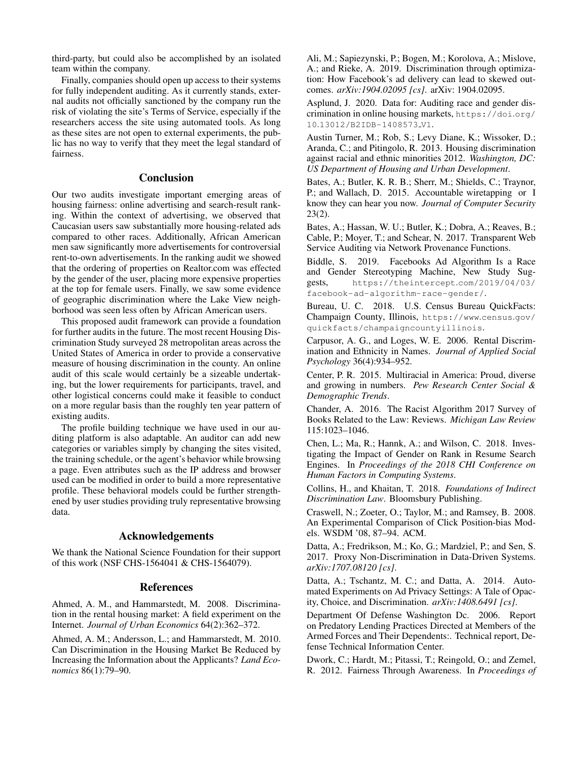third-party, but could also be accomplished by an isolated team within the company.

Finally, companies should open up access to their systems for fully independent auditing. As it currently stands, external audits not officially sanctioned by the company run the risk of violating the site's Terms of Service, especially if the researchers access the site using automated tools. As long as these sites are not open to external experiments, the public has no way to verify that they meet the legal standard of fairness.

### Conclusion

Our two audits investigate important emerging areas of housing fairness: online advertising and search-result ranking. Within the context of advertising, we observed that Caucasian users saw substantially more housing-related ads compared to other races. Additionally, African American men saw significantly more advertisements for controversial rent-to-own advertisements. In the ranking audit we showed that the ordering of properties on Realtor.com was effected by the gender of the user, placing more expensive properties at the top for female users. Finally, we saw some evidence of geographic discrimination where the Lake View neighborhood was seen less often by African American users.

This proposed audit framework can provide a foundation for further audits in the future. The most recent Housing Discrimination Study surveyed 28 metropolitan areas across the United States of America in order to provide a conservative measure of housing discrimination in the county. An online audit of this scale would certainly be a sizeable undertaking, but the lower requirements for participants, travel, and other logistical concerns could make it feasible to conduct on a more regular basis than the roughly ten year pattern of existing audits.

The profile building technique we have used in our auditing platform is also adaptable. An auditor can add new categories or variables simply by changing the sites visited, the training schedule, or the agent's behavior while browsing a page. Even attributes such as the IP address and browser used can be modified in order to build a more representative profile. These behavioral models could be further strengthened by user studies providing truly representative browsing data.

### Acknowledgements

We thank the National Science Foundation for their support of this work (NSF CHS-1564041 & CHS-1564079).

#### References

Ahmed, A. M., and Hammarstedt, M. 2008. Discrimination in the rental housing market: A field experiment on the Internet. *Journal of Urban Economics* 64(2):362–372.

Ahmed, A. M.; Andersson, L.; and Hammarstedt, M. 2010. Can Discrimination in the Housing Market Be Reduced by Increasing the Information about the Applicants? *Land Economics* 86(1):79–90.

Ali, M.; Sapiezynski, P.; Bogen, M.; Korolova, A.; Mislove, A.; and Rieke, A. 2019. Discrimination through optimization: How Facebook's ad delivery can lead to skewed outcomes. *arXiv:1904.02095 [cs]*. arXiv: 1904.02095.

Asplund, J. 2020. Data for: Auditing race and gender discrimination in online housing markets, https://doi.org/ 10.13012/B2IDB-1408573 V1.

Austin Turner, M.; Rob, S.; Levy Diane, K.; Wissoker, D.; Aranda, C.; and Pitingolo, R. 2013. Housing discrimination against racial and ethnic minorities 2012. *Washington, DC: US Department of Housing and Urban Development*.

Bates, A.; Butler, K. R. B.; Sherr, M.; Shields, C.; Traynor, P.; and Wallach, D. 2015. Accountable wiretapping or I know they can hear you now. *Journal of Computer Security* 23(2).

Bates, A.; Hassan, W. U.; Butler, K.; Dobra, A.; Reaves, B.; Cable, P.; Moyer, T.; and Schear, N. 2017. Transparent Web Service Auditing via Network Provenance Functions.

Biddle, S. 2019. Facebooks Ad Algorithm Is a Race and Gender Stereotyping Machine, New Study Suggests, https://theintercept.com/2019/04/03/ facebook-ad-algorithm-race-gender/.

Bureau, U. C. 2018. U.S. Census Bureau QuickFacts: Champaign County, Illinois, https://www.census.gov/ quickfacts/champaigncountyillinois.

Carpusor, A. G., and Loges, W. E. 2006. Rental Discrimination and Ethnicity in Names. *Journal of Applied Social Psychology* 36(4):934–952.

Center, P. R. 2015. Multiracial in America: Proud, diverse and growing in numbers. *Pew Research Center Social & Demographic Trends*.

Chander, A. 2016. The Racist Algorithm 2017 Survey of Books Related to the Law: Reviews. *Michigan Law Review* 115:1023–1046.

Chen, L.; Ma, R.; Hannk, A.; and Wilson, C. 2018. Investigating the Impact of Gender on Rank in Resume Search Engines. In *Proceedings of the 2018 CHI Conference on Human Factors in Computing Systems*.

Collins, H., and Khaitan, T. 2018. *Foundations of Indirect Discrimination Law*. Bloomsbury Publishing.

Craswell, N.; Zoeter, O.; Taylor, M.; and Ramsey, B. 2008. An Experimental Comparison of Click Position-bias Models. WSDM '08, 87–94. ACM.

Datta, A.; Fredrikson, M.; Ko, G.; Mardziel, P.; and Sen, S. 2017. Proxy Non-Discrimination in Data-Driven Systems. *arXiv:1707.08120 [cs]*.

Datta, A.; Tschantz, M. C.; and Datta, A. 2014. Automated Experiments on Ad Privacy Settings: A Tale of Opacity, Choice, and Discrimination. *arXiv:1408.6491 [cs]*.

Department Of Defense Washington Dc. 2006. Report on Predatory Lending Practices Directed at Members of the Armed Forces and Their Dependents:. Technical report, Defense Technical Information Center.

Dwork, C.; Hardt, M.; Pitassi, T.; Reingold, O.; and Zemel, R. 2012. Fairness Through Awareness. In *Proceedings of*